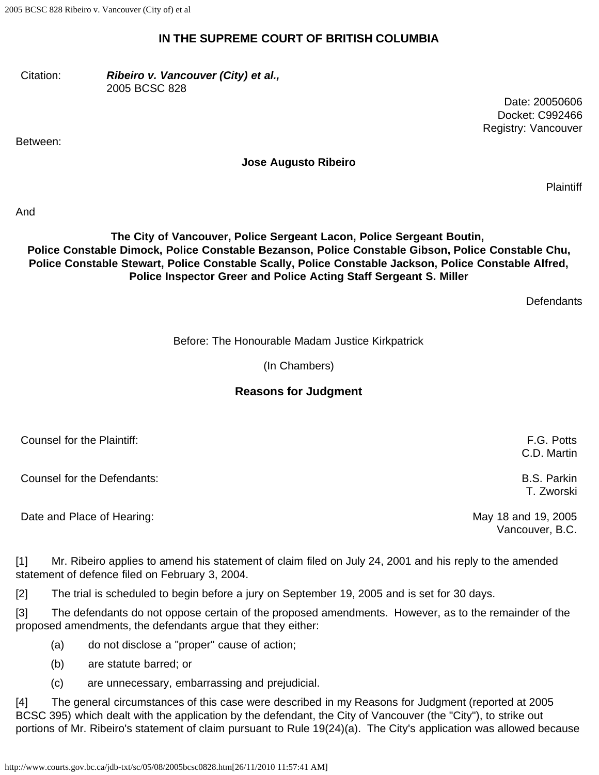2005 BCSC 828 Ribeiro v. Vancouver (City of) et al

#### **IN THE SUPREME COURT OF BRITISH COLUMBIA**

Citation: *Ribeiro v. Vancouver (City) et al.,* 2005 BCSC 828

Between:

Date: 20050606 Docket: C992466 Registry: Vancouver

#### **Jose Augusto Ribeiro**

**Plaintiff** 

And

#### **The City of Vancouver, Police Sergeant Lacon, Police Sergeant Boutin, Police Constable Dimock, Police Constable Bezanson, Police Constable Gibson, Police Constable Chu, Police Constable Stewart, Police Constable Scally, Police Constable Jackson, Police Constable Alfred, Police Inspector Greer and Police Acting Staff Sergeant S. Miller**

**Defendants** 

Before: The Honourable Madam Justice Kirkpatrick

(In Chambers)

## **Reasons for Judgment**

| Counsel for the Plaintiff:  | F.G. Potts<br>C.D. Martin        |
|-----------------------------|----------------------------------|
| Counsel for the Defendants: | <b>B.S. Parkin</b><br>T. Zworski |
| Date and Place of Hearing:  | May 18 and 19, 2005              |

Vancouver, B.C.

[1] Mr. Ribeiro applies to amend his statement of claim filed on July 24, 2001 and his reply to the amended statement of defence filed on February 3, 2004.

[2] The trial is scheduled to begin before a jury on September 19, 2005 and is set for 30 days.

[3] The defendants do not oppose certain of the proposed amendments. However, as to the remainder of the proposed amendments, the defendants argue that they either:

(a) do not disclose a "proper" cause of action;

- (b) are statute barred; or
- (c) are unnecessary, embarrassing and prejudicial.

[4] The general circumstances of this case were described in my Reasons for Judgment (reported at 2005 BCSC 395) which dealt with the application by the defendant, the City of Vancouver (the "City"), to strike out portions of Mr. Ribeiro's statement of claim pursuant to Rule 19(24)(a). The City's application was allowed because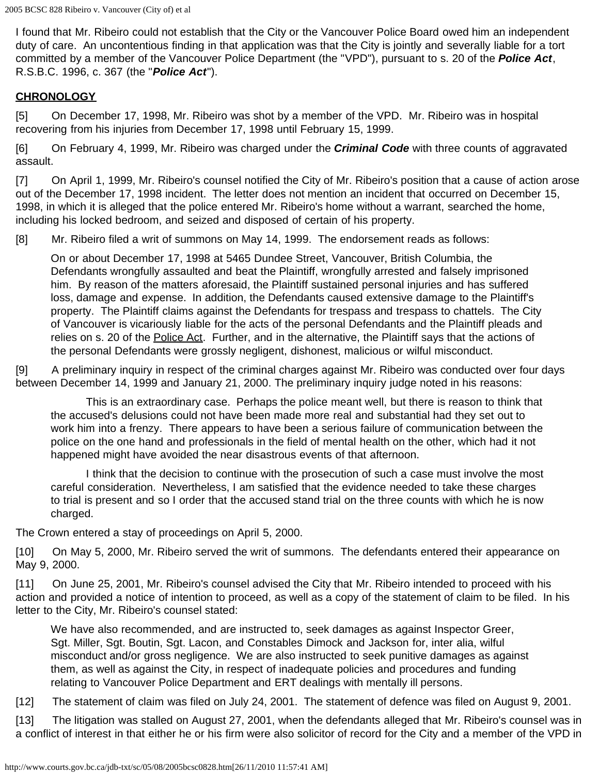I found that Mr. Ribeiro could not establish that the City or the Vancouver Police Board owed him an independent duty of care. An uncontentious finding in that application was that the City is jointly and severally liable for a tort committed by a member of the Vancouver Police Department (the "VPD"), pursuant to s. 20 of the *Police Act*, R.S.B.C. 1996, c. 367 (the "*Police Act*").

#### **CHRONOLOGY**

[5] On December 17, 1998, Mr. Ribeiro was shot by a member of the VPD. Mr. Ribeiro was in hospital recovering from his injuries from December 17, 1998 until February 15, 1999.

[6] On February 4, 1999, Mr. Ribeiro was charged under the *Criminal Code* with three counts of aggravated assault.

[7] On April 1, 1999, Mr. Ribeiro's counsel notified the City of Mr. Ribeiro's position that a cause of action arose out of the December 17, 1998 incident. The letter does not mention an incident that occurred on December 15, 1998, in which it is alleged that the police entered Mr. Ribeiro's home without a warrant, searched the home, including his locked bedroom, and seized and disposed of certain of his property.

[8] Mr. Ribeiro filed a writ of summons on May 14, 1999. The endorsement reads as follows:

On or about December 17, 1998 at 5465 Dundee Street, Vancouver, British Columbia, the Defendants wrongfully assaulted and beat the Plaintiff, wrongfully arrested and falsely imprisoned him. By reason of the matters aforesaid, the Plaintiff sustained personal injuries and has suffered loss, damage and expense. In addition, the Defendants caused extensive damage to the Plaintiff's property. The Plaintiff claims against the Defendants for trespass and trespass to chattels. The City of Vancouver is vicariously liable for the acts of the personal Defendants and the Plaintiff pleads and relies on s. 20 of the Police Act. Further, and in the alternative, the Plaintiff says that the actions of the personal Defendants were grossly negligent, dishonest, malicious or wilful misconduct.

[9] A preliminary inquiry in respect of the criminal charges against Mr. Ribeiro was conducted over four days between December 14, 1999 and January 21, 2000. The preliminary inquiry judge noted in his reasons:

 This is an extraordinary case. Perhaps the police meant well, but there is reason to think that the accused's delusions could not have been made more real and substantial had they set out to work him into a frenzy. There appears to have been a serious failure of communication between the police on the one hand and professionals in the field of mental health on the other, which had it not happened might have avoided the near disastrous events of that afternoon.

 I think that the decision to continue with the prosecution of such a case must involve the most careful consideration. Nevertheless, I am satisfied that the evidence needed to take these charges to trial is present and so I order that the accused stand trial on the three counts with which he is now charged.

The Crown entered a stay of proceedings on April 5, 2000.

[10] On May 5, 2000, Mr. Ribeiro served the writ of summons. The defendants entered their appearance on May 9, 2000.

[11] On June 25, 2001, Mr. Ribeiro's counsel advised the City that Mr. Ribeiro intended to proceed with his action and provided a notice of intention to proceed, as well as a copy of the statement of claim to be filed. In his letter to the City, Mr. Ribeiro's counsel stated:

We have also recommended, and are instructed to, seek damages as against Inspector Greer, Sgt. Miller, Sgt. Boutin, Sgt. Lacon, and Constables Dimock and Jackson for, inter alia, wilful misconduct and/or gross negligence. We are also instructed to seek punitive damages as against them, as well as against the City, in respect of inadequate policies and procedures and funding relating to Vancouver Police Department and ERT dealings with mentally ill persons.

[12] The statement of claim was filed on July 24, 2001. The statement of defence was filed on August 9, 2001.

[13] The litigation was stalled on August 27, 2001, when the defendants alleged that Mr. Ribeiro's counsel was in a conflict of interest in that either he or his firm were also solicitor of record for the City and a member of the VPD in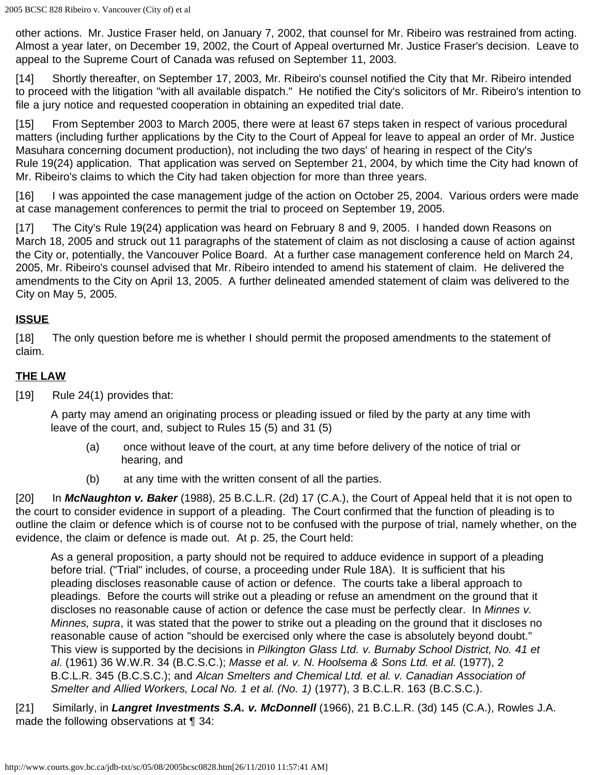other actions. Mr. Justice Fraser held, on January 7, 2002, that counsel for Mr. Ribeiro was restrained from acting. Almost a year later, on December 19, 2002, the Court of Appeal overturned Mr. Justice Fraser's decision. Leave to appeal to the Supreme Court of Canada was refused on September 11, 2003.

[14] Shortly thereafter, on September 17, 2003, Mr. Ribeiro's counsel notified the City that Mr. Ribeiro intended to proceed with the litigation "with all available dispatch." He notified the City's solicitors of Mr. Ribeiro's intention to file a jury notice and requested cooperation in obtaining an expedited trial date.

[15] From September 2003 to March 2005, there were at least 67 steps taken in respect of various procedural matters (including further applications by the City to the Court of Appeal for leave to appeal an order of Mr. Justice Masuhara concerning document production), not including the two days' of hearing in respect of the City's Rule 19(24) application. That application was served on September 21, 2004, by which time the City had known of Mr. Ribeiro's claims to which the City had taken objection for more than three years.

[16] I was appointed the case management judge of the action on October 25, 2004. Various orders were made at case management conferences to permit the trial to proceed on September 19, 2005.

[17] The City's Rule 19(24) application was heard on February 8 and 9, 2005. I handed down Reasons on March 18, 2005 and struck out 11 paragraphs of the statement of claim as not disclosing a cause of action against the City or, potentially, the Vancouver Police Board. At a further case management conference held on March 24, 2005, Mr. Ribeiro's counsel advised that Mr. Ribeiro intended to amend his statement of claim. He delivered the amendments to the City on April 13, 2005. A further delineated amended statement of claim was delivered to the City on May 5, 2005.

## **ISSUE**

[18] The only question before me is whether I should permit the proposed amendments to the statement of claim.

# **THE LAW**

[19] Rule 24(1) provides that:

A party may amend an originating process or pleading issued or filed by the party at any time with leave of the court, and, subject to Rules 15 (5) and 31 (5)

- (a) once without leave of the court, at any time before delivery of the notice of trial or hearing, and
- (b) at any time with the written consent of all the parties.

[20] In *McNaughton v. Baker* (1988), 25 B.C.L.R. (2d) 17 (C.A.), the Court of Appeal held that it is not open to the court to consider evidence in support of a pleading. The Court confirmed that the function of pleading is to outline the claim or defence which is of course not to be confused with the purpose of trial, namely whether, on the evidence, the claim or defence is made out. At p. 25, the Court held:

As a general proposition, a party should not be required to adduce evidence in support of a pleading before trial. ("Trial" includes, of course, a proceeding under Rule 18A). It is sufficient that his pleading discloses reasonable cause of action or defence. The courts take a liberal approach to pleadings. Before the courts will strike out a pleading or refuse an amendment on the ground that it discloses no reasonable cause of action or defence the case must be perfectly clear. In *Minnes v. Minnes, supra*, it was stated that the power to strike out a pleading on the ground that it discloses no reasonable cause of action "should be exercised only where the case is absolutely beyond doubt." This view is supported by the decisions in *Pilkington Glass Ltd. v. Burnaby School District, No. 41 et al.* (1961) 36 W.W.R. 34 (B.C.S.C.); *Masse et al. v. N. Hoolsema & Sons Ltd. et al.* (1977), 2 B.C.L.R. 345 (B.C.S.C.); and *Alcan Smelters and Chemical Ltd. et al. v. Canadian Association of Smelter and Allied Workers, Local No. 1 et al. (No. 1)* (1977), 3 B.C.L.R. 163 (B.C.S.C.).

[21] Similarly, in *Langret Investments S.A. v. McDonnell* (1966), 21 B.C.L.R. (3d) 145 (C.A.), Rowles J.A. made the following observations at ¶ 34: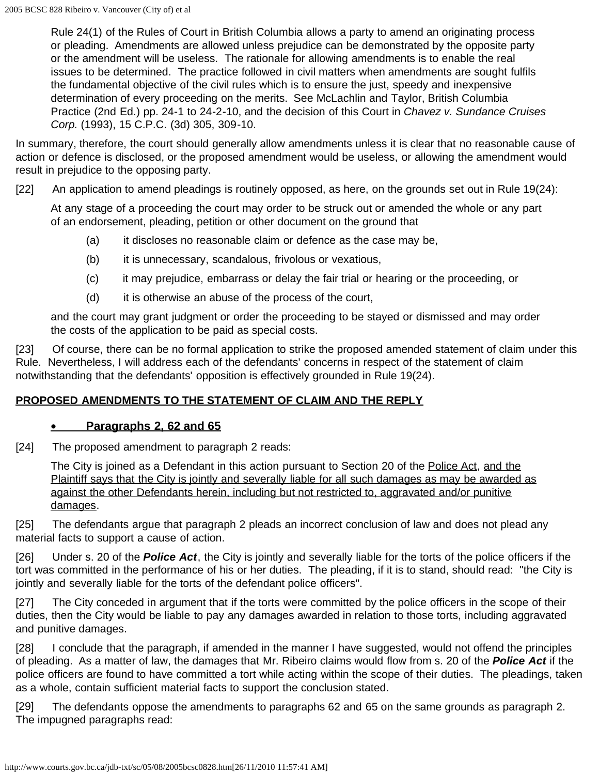Rule 24(1) of the Rules of Court in British Columbia allows a party to amend an originating process or pleading. Amendments are allowed unless prejudice can be demonstrated by the opposite party or the amendment will be useless. The rationale for allowing amendments is to enable the real issues to be determined. The practice followed in civil matters when amendments are sought fulfils the fundamental objective of the civil rules which is to ensure the just, speedy and inexpensive determination of every proceeding on the merits. See McLachlin and Taylor, British Columbia Practice (2nd Ed.) pp. 24-1 to 24-2-10, and the decision of this Court in *Chavez v. Sundance Cruises Corp.* (1993), 15 C.P.C. (3d) 305, 309-10.

In summary, therefore, the court should generally allow amendments unless it is clear that no reasonable cause of action or defence is disclosed, or the proposed amendment would be useless, or allowing the amendment would result in prejudice to the opposing party.

[22] An application to amend pleadings is routinely opposed, as here, on the grounds set out in Rule 19(24):

At any stage of a proceeding the court may order to be struck out or amended the whole or any part of an endorsement, pleading, petition or other document on the ground that

- (a) it discloses no reasonable claim or defence as the case may be,
- (b) it is unnecessary, scandalous, frivolous or vexatious,
- (c) it may prejudice, embarrass or delay the fair trial or hearing or the proceeding, or
- (d) it is otherwise an abuse of the process of the court,

and the court may grant judgment or order the proceeding to be stayed or dismissed and may order the costs of the application to be paid as special costs.

[23] Of course, there can be no formal application to strike the proposed amended statement of claim under this Rule. Nevertheless, I will address each of the defendants' concerns in respect of the statement of claim notwithstanding that the defendants' opposition is effectively grounded in Rule 19(24).

## **PROPOSED AMENDMENTS TO THE STATEMENT OF CLAIM AND THE REPLY**

#### • **Paragraphs 2, 62 and 65**

[24] The proposed amendment to paragraph 2 reads:

The City is joined as a Defendant in this action pursuant to Section 20 of the Police Act, and the Plaintiff says that the City is jointly and severally liable for all such damages as may be awarded as against the other Defendants herein, including but not restricted to, aggravated and/or punitive damages.

[25] The defendants argue that paragraph 2 pleads an incorrect conclusion of law and does not plead any material facts to support a cause of action.

[26] Under s. 20 of the **Police Act**, the City is jointly and severally liable for the torts of the police officers if the tort was committed in the performance of his or her duties. The pleading, if it is to stand, should read: "the City is jointly and severally liable for the torts of the defendant police officers".

[27] The City conceded in argument that if the torts were committed by the police officers in the scope of their duties, then the City would be liable to pay any damages awarded in relation to those torts, including aggravated and punitive damages.

[28] I conclude that the paragraph, if amended in the manner I have suggested, would not offend the principles of pleading. As a matter of law, the damages that Mr. Ribeiro claims would flow from s. 20 of the *Police Act* if the police officers are found to have committed a tort while acting within the scope of their duties. The pleadings, taken as a whole, contain sufficient material facts to support the conclusion stated.

[29] The defendants oppose the amendments to paragraphs 62 and 65 on the same grounds as paragraph 2. The impugned paragraphs read: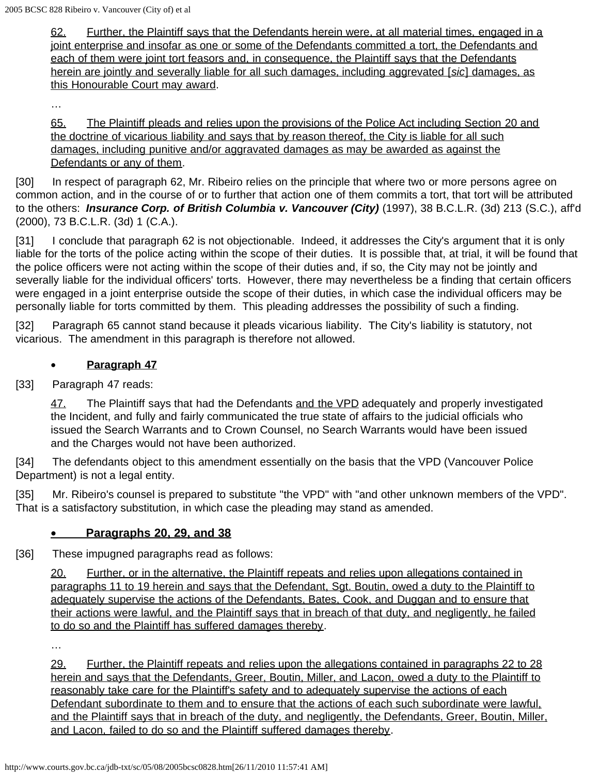62. Further, the Plaintiff says that the Defendants herein were, at all material times, engaged in a joint enterprise and insofar as one or some of the Defendants committed a tort, the Defendants and each of them were joint tort feasors and, in consequence, the Plaintiff says that the Defendants herein are jointly and severally liable for all such damages, including aggrevated [*sic*] damages, as this Honourable Court may award.

…

65. The Plaintiff pleads and relies upon the provisions of the Police Act including Section 20 and the doctrine of vicarious liability and says that by reason thereof, the City is liable for all such damages, including punitive and/or aggravated damages as may be awarded as against the Defendants or any of them.

[30] In respect of paragraph 62, Mr. Ribeiro relies on the principle that where two or more persons agree on common action, and in the course of or to further that action one of them commits a tort, that tort will be attributed to the others: *Insurance Corp. of British Columbia v. Vancouver (City)* (1997), 38 B.C.L.R. (3d) 213 (S.C.), aff'd (2000), 73 B.C.L.R. (3d) 1 (C.A.).

[31] I conclude that paragraph 62 is not objectionable. Indeed, it addresses the City's argument that it is only liable for the torts of the police acting within the scope of their duties. It is possible that, at trial, it will be found that the police officers were not acting within the scope of their duties and, if so, the City may not be jointly and severally liable for the individual officers' torts. However, there may nevertheless be a finding that certain officers were engaged in a joint enterprise outside the scope of their duties, in which case the individual officers may be personally liable for torts committed by them. This pleading addresses the possibility of such a finding.

[32] Paragraph 65 cannot stand because it pleads vicarious liability. The City's liability is statutory, not vicarious. The amendment in this paragraph is therefore not allowed.

#### • **Paragraph 47**

[33] Paragraph 47 reads:

47. The Plaintiff says that had the Defendants and the VPD adequately and properly investigated the Incident, and fully and fairly communicated the true state of affairs to the judicial officials who issued the Search Warrants and to Crown Counsel, no Search Warrants would have been issued and the Charges would not have been authorized.

[34] The defendants object to this amendment essentially on the basis that the VPD (Vancouver Police Department) is not a legal entity.

[35] Mr. Ribeiro's counsel is prepared to substitute "the VPD" with "and other unknown members of the VPD". That is a satisfactory substitution, in which case the pleading may stand as amended.

## • **Paragraphs 20, 29, and 38**

[36] These impugned paragraphs read as follows:

20. Further, or in the alternative, the Plaintiff repeats and relies upon allegations contained in paragraphs 11 to 19 herein and says that the Defendant, Sgt. Boutin, owed a duty to the Plaintiff to adequately supervise the actions of the Defendants, Bates, Cook, and Duggan and to ensure that their actions were lawful, and the Plaintiff says that in breach of that duty, and negligently, he failed to do so and the Plaintiff has suffered damages thereby.

…

29. Further, the Plaintiff repeats and relies upon the allegations contained in paragraphs 22 to 28 herein and says that the Defendants, Greer, Boutin, Miller, and Lacon, owed a duty to the Plaintiff to reasonably take care for the Plaintiff's safety and to adequately supervise the actions of each Defendant subordinate to them and to ensure that the actions of each such subordinate were lawful, and the Plaintiff says that in breach of the duty, and negligently, the Defendants, Greer, Boutin, Miller, and Lacon, failed to do so and the Plaintiff suffered damages thereby.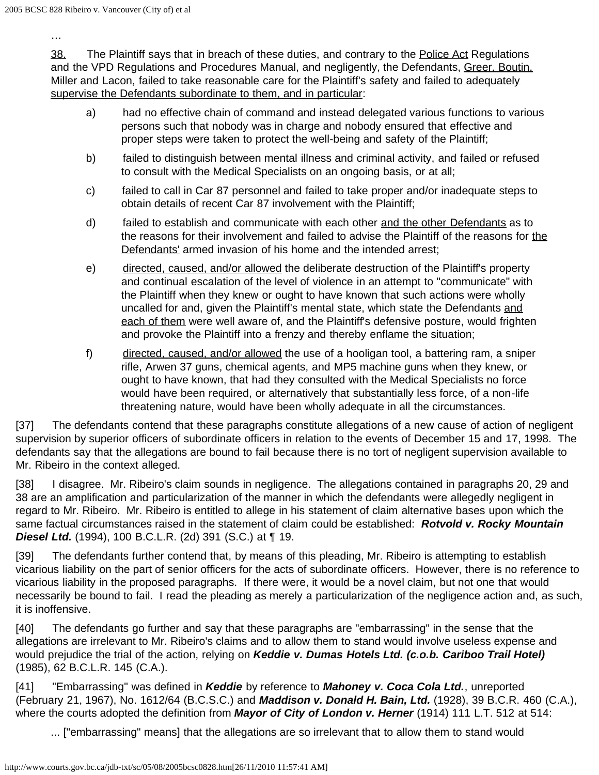…

38. The Plaintiff says that in breach of these duties, and contrary to the Police Act Regulations and the VPD Regulations and Procedures Manual, and negligently, the Defendants, Greer, Boutin, Miller and Lacon, failed to take reasonable care for the Plaintiff's safety and failed to adequately supervise the Defendants subordinate to them, and in particular:

- a) had no effective chain of command and instead delegated various functions to various persons such that nobody was in charge and nobody ensured that effective and proper steps were taken to protect the well-being and safety of the Plaintiff;
- b) failed to distinguish between mental illness and criminal activity, and failed or refused to consult with the Medical Specialists on an ongoing basis, or at all;
- c) failed to call in Car 87 personnel and failed to take proper and/or inadequate steps to obtain details of recent Car 87 involvement with the Plaintiff;
- d) failed to establish and communicate with each other and the other Defendants as to the reasons for their involvement and failed to advise the Plaintiff of the reasons for the Defendants' armed invasion of his home and the intended arrest;
- e) directed, caused, and/or allowed the deliberate destruction of the Plaintiff's property and continual escalation of the level of violence in an attempt to "communicate" with the Plaintiff when they knew or ought to have known that such actions were wholly uncalled for and, given the Plaintiff's mental state, which state the Defendants and each of them were well aware of, and the Plaintiff's defensive posture, would frighten and provoke the Plaintiff into a frenzy and thereby enflame the situation;
- f) directed, caused, and/or allowed the use of a hooligan tool, a battering ram, a sniper rifle, Arwen 37 guns, chemical agents, and MP5 machine guns when they knew, or ought to have known, that had they consulted with the Medical Specialists no force would have been required, or alternatively that substantially less force, of a non-life threatening nature, would have been wholly adequate in all the circumstances.

[37] The defendants contend that these paragraphs constitute allegations of a new cause of action of negligent supervision by superior officers of subordinate officers in relation to the events of December 15 and 17, 1998. The defendants say that the allegations are bound to fail because there is no tort of negligent supervision available to Mr. Ribeiro in the context alleged.

[38] I disagree. Mr. Ribeiro's claim sounds in negligence. The allegations contained in paragraphs 20, 29 and 38 are an amplification and particularization of the manner in which the defendants were allegedly negligent in regard to Mr. Ribeiro. Mr. Ribeiro is entitled to allege in his statement of claim alternative bases upon which the same factual circumstances raised in the statement of claim could be established: *Rotvold v. Rocky Mountain Diesel Ltd.* (1994), 100 B.C.L.R. (2d) 391 (S.C.) at ¶ 19.

[39] The defendants further contend that, by means of this pleading, Mr. Ribeiro is attempting to establish vicarious liability on the part of senior officers for the acts of subordinate officers. However, there is no reference to vicarious liability in the proposed paragraphs. If there were, it would be a novel claim, but not one that would necessarily be bound to fail. I read the pleading as merely a particularization of the negligence action and, as such, it is inoffensive.

[40] The defendants go further and say that these paragraphs are "embarrassing" in the sense that the allegations are irrelevant to Mr. Ribeiro's claims and to allow them to stand would involve useless expense and would prejudice the trial of the action, relying on *Keddie v. Dumas Hotels Ltd. (c.o.b. Cariboo Trail Hotel)* (1985), 62 B.C.L.R. 145 (C.A.).

[41] "Embarrassing" was defined in *Keddie* by reference to *Mahoney v. Coca Cola Ltd.*, unreported (February 21, 1967), No. 1612/64 (B.C.S.C.) and *Maddison v. Donald H. Bain, Ltd.* (1928), 39 B.C.R. 460 (C.A.), where the courts adopted the definition from *Mayor of City of London v. Herner* (1914) 111 L.T. 512 at 514:

... ["embarrassing" means] that the allegations are so irrelevant that to allow them to stand would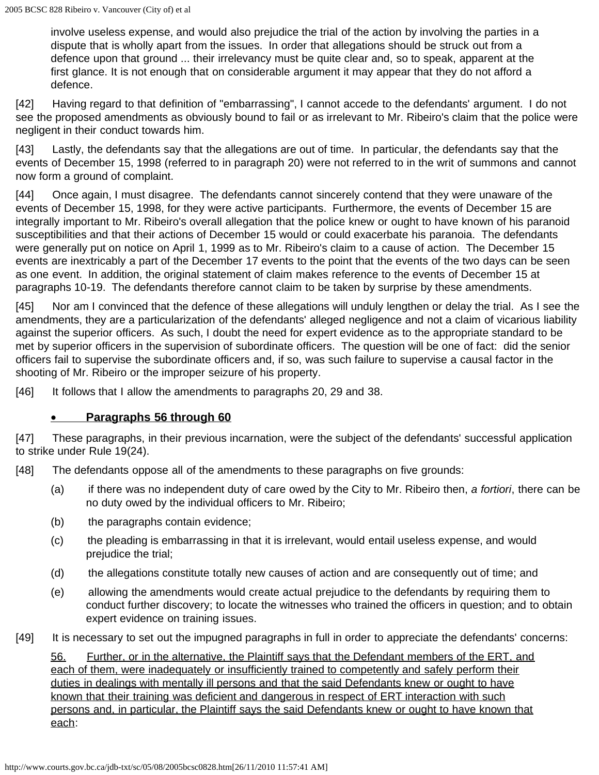involve useless expense, and would also prejudice the trial of the action by involving the parties in a dispute that is wholly apart from the issues. In order that allegations should be struck out from a defence upon that ground ... their irrelevancy must be quite clear and, so to speak, apparent at the first glance. It is not enough that on considerable argument it may appear that they do not afford a defence.

[42] Having regard to that definition of "embarrassing", I cannot accede to the defendants' argument. I do not see the proposed amendments as obviously bound to fail or as irrelevant to Mr. Ribeiro's claim that the police were negligent in their conduct towards him.

[43] Lastly, the defendants say that the allegations are out of time. In particular, the defendants say that the events of December 15, 1998 (referred to in paragraph 20) were not referred to in the writ of summons and cannot now form a ground of complaint.

[44] Once again, I must disagree. The defendants cannot sincerely contend that they were unaware of the events of December 15, 1998, for they were active participants. Furthermore, the events of December 15 are integrally important to Mr. Ribeiro's overall allegation that the police knew or ought to have known of his paranoid susceptibilities and that their actions of December 15 would or could exacerbate his paranoia. The defendants were generally put on notice on April 1, 1999 as to Mr. Ribeiro's claim to a cause of action. The December 15 events are inextricably a part of the December 17 events to the point that the events of the two days can be seen as one event. In addition, the original statement of claim makes reference to the events of December 15 at paragraphs 10-19. The defendants therefore cannot claim to be taken by surprise by these amendments.

[45] Nor am I convinced that the defence of these allegations will unduly lengthen or delay the trial. As I see the amendments, they are a particularization of the defendants' alleged negligence and not a claim of vicarious liability against the superior officers. As such, I doubt the need for expert evidence as to the appropriate standard to be met by superior officers in the supervision of subordinate officers. The question will be one of fact: did the senior officers fail to supervise the subordinate officers and, if so, was such failure to supervise a causal factor in the shooting of Mr. Ribeiro or the improper seizure of his property.

[46] It follows that I allow the amendments to paragraphs 20, 29 and 38.

## • **Paragraphs 56 through 60**

[47] These paragraphs, in their previous incarnation, were the subject of the defendants' successful application to strike under Rule 19(24).

[48] The defendants oppose all of the amendments to these paragraphs on five grounds:

- (a) if there was no independent duty of care owed by the City to Mr. Ribeiro then, *a fortiori*, there can be no duty owed by the individual officers to Mr. Ribeiro;
- (b) the paragraphs contain evidence;
- (c) the pleading is embarrassing in that it is irrelevant, would entail useless expense, and would prejudice the trial;
- (d) the allegations constitute totally new causes of action and are consequently out of time; and
- (e) allowing the amendments would create actual prejudice to the defendants by requiring them to conduct further discovery; to locate the witnesses who trained the officers in question; and to obtain expert evidence on training issues.
- [49] It is necessary to set out the impugned paragraphs in full in order to appreciate the defendants' concerns:

56. Further, or in the alternative, the Plaintiff says that the Defendant members of the ERT, and each of them, were inadequately or insufficiently trained to competently and safely perform their duties in dealings with mentally ill persons and that the said Defendants knew or ought to have known that their training was deficient and dangerous in respect of ERT interaction with such persons and, in particular, the Plaintiff says the said Defendants knew or ought to have known that each: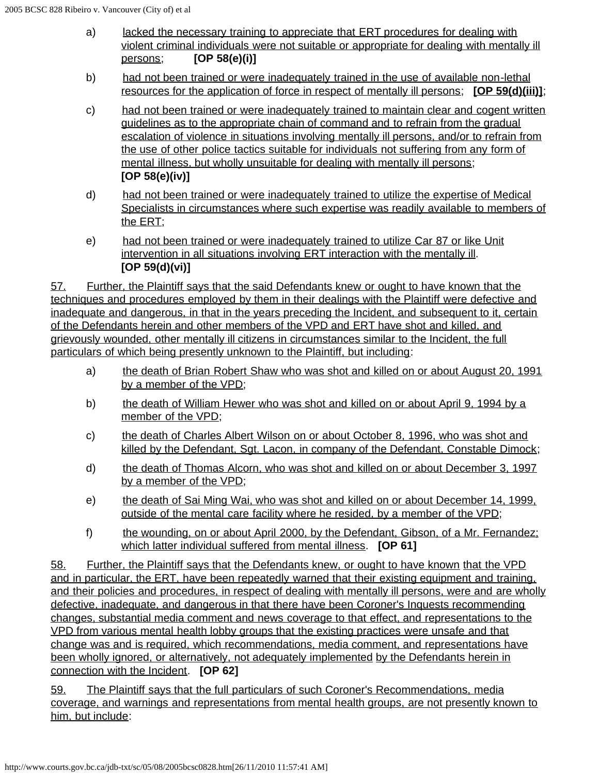- a) lacked the necessary training to appreciate that ERT procedures for dealing with violent criminal individuals were not suitable or appropriate for dealing with mentally ill persons; **[OP 58(e)(i)]**
- b) had not been trained or were inadequately trained in the use of available non-lethal resources for the application of force in respect of mentally ill persons; **[OP 59(d)(iii)]**;
- c) had not been trained or were inadequately trained to maintain clear and cogent written guidelines as to the appropriate chain of command and to refrain from the gradual escalation of violence in situations involving mentally ill persons, and/or to refrain from the use of other police tactics suitable for individuals not suffering from any form of mental illness, but wholly unsuitable for dealing with mentally ill persons; **[OP 58(e)(iv)]**
- d) had not been trained or were inadequately trained to utilize the expertise of Medical Specialists in circumstances where such expertise was readily available to members of the ERT;
- e) had not been trained or were inadequately trained to utilize Car 87 or like Unit intervention in all situations involving ERT interaction with the mentally ill. **[OP 59(d)(vi)]**

57. Further, the Plaintiff says that the said Defendants knew or ought to have known that the techniques and procedures employed by them in their dealings with the Plaintiff were defective and inadequate and dangerous, in that in the years preceding the Incident, and subsequent to it, certain of the Defendants herein and other members of the VPD and ERT have shot and killed, and grievously wounded, other mentally ill citizens in circumstances similar to the Incident, the full particulars of which being presently unknown to the Plaintiff, but including:

- a) the death of Brian Robert Shaw who was shot and killed on or about August 20, 1991 by a member of the VPD;
- b) the death of William Hewer who was shot and killed on or about April 9, 1994 by a member of the VPD;
- c) the death of Charles Albert Wilson on or about October 8, 1996, who was shot and killed by the Defendant, Sgt. Lacon, in company of the Defendant, Constable Dimock;
- d) the death of Thomas Alcorn, who was shot and killed on or about December 3, 1997 by a member of the VPD;
- e) the death of Sai Ming Wai, who was shot and killed on or about December 14, 1999, outside of the mental care facility where he resided, by a member of the VPD;
- f) the wounding, on or about April 2000, by the Defendant, Gibson, of a Mr. Fernandez; which latter individual suffered from mental illness. **[OP 61]**

58. Further, the Plaintiff says that the Defendants knew, or ought to have known that the VPD and in particular, the ERT, have been repeatedly warned that their existing equipment and training, and their policies and procedures, in respect of dealing with mentally ill persons, were and are wholly defective, inadequate, and dangerous in that there have been Coroner's Inquests recommending changes, substantial media comment and news coverage to that effect, and representations to the VPD from various mental health lobby groups that the existing practices were unsafe and that change was and is required, which recommendations, media comment, and representations have been wholly ignored, or alternatively, not adequately implemented by the Defendants herein in connection with the Incident. **[OP 62]**

59. The Plaintiff says that the full particulars of such Coroner's Recommendations, media coverage, and warnings and representations from mental health groups, are not presently known to him, but include: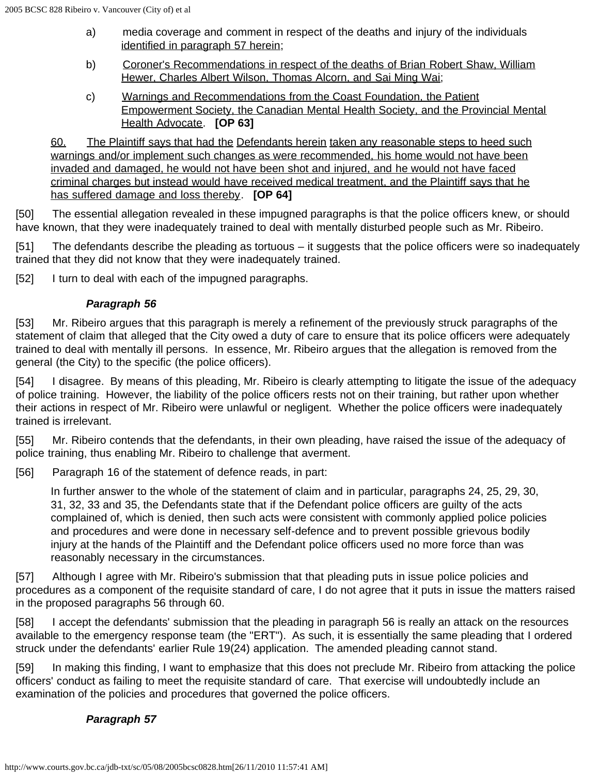- a) media coverage and comment in respect of the deaths and injury of the individuals identified in paragraph 57 herein;
- b) Coroner's Recommendations in respect of the deaths of Brian Robert Shaw, William Hewer, Charles Albert Wilson, Thomas Alcorn, and Sai Ming Wai;
- c) Warnings and Recommendations from the Coast Foundation, the Patient Empowerment Society, the Canadian Mental Health Society, and the Provincial Mental Health Advocate. **[OP 63]**

60. The Plaintiff says that had the Defendants herein taken any reasonable steps to heed such warnings and/or implement such changes as were recommended, his home would not have been invaded and damaged, he would not have been shot and injured, and he would not have faced criminal charges but instead would have received medical treatment, and the Plaintiff says that he has suffered damage and loss thereby. **[OP 64]**

[50] The essential allegation revealed in these impugned paragraphs is that the police officers knew, or should have known, that they were inadequately trained to deal with mentally disturbed people such as Mr. Ribeiro.

[51] The defendants describe the pleading as tortuous – it suggests that the police officers were so inadequately trained that they did not know that they were inadequately trained.

[52] I turn to deal with each of the impugned paragraphs.

## *Paragraph 56*

[53] Mr. Ribeiro argues that this paragraph is merely a refinement of the previously struck paragraphs of the statement of claim that alleged that the City owed a duty of care to ensure that its police officers were adequately trained to deal with mentally ill persons. In essence, Mr. Ribeiro argues that the allegation is removed from the general (the City) to the specific (the police officers).

[54] I disagree. By means of this pleading, Mr. Ribeiro is clearly attempting to litigate the issue of the adequacy of police training. However, the liability of the police officers rests not on their training, but rather upon whether their actions in respect of Mr. Ribeiro were unlawful or negligent. Whether the police officers were inadequately trained is irrelevant.

[55] Mr. Ribeiro contends that the defendants, in their own pleading, have raised the issue of the adequacy of police training, thus enabling Mr. Ribeiro to challenge that averment.

[56] Paragraph 16 of the statement of defence reads, in part:

In further answer to the whole of the statement of claim and in particular, paragraphs 24, 25, 29, 30, 31, 32, 33 and 35, the Defendants state that if the Defendant police officers are guilty of the acts complained of, which is denied, then such acts were consistent with commonly applied police policies and procedures and were done in necessary self-defence and to prevent possible grievous bodily injury at the hands of the Plaintiff and the Defendant police officers used no more force than was reasonably necessary in the circumstances.

[57] Although I agree with Mr. Ribeiro's submission that that pleading puts in issue police policies and procedures as a component of the requisite standard of care, I do not agree that it puts in issue the matters raised in the proposed paragraphs 56 through 60.

[58] I accept the defendants' submission that the pleading in paragraph 56 is really an attack on the resources available to the emergency response team (the "ERT"). As such, it is essentially the same pleading that I ordered struck under the defendants' earlier Rule 19(24) application. The amended pleading cannot stand.

[59] In making this finding, I want to emphasize that this does not preclude Mr. Ribeiro from attacking the police officers' conduct as failing to meet the requisite standard of care. That exercise will undoubtedly include an examination of the policies and procedures that governed the police officers.

## *Paragraph 57*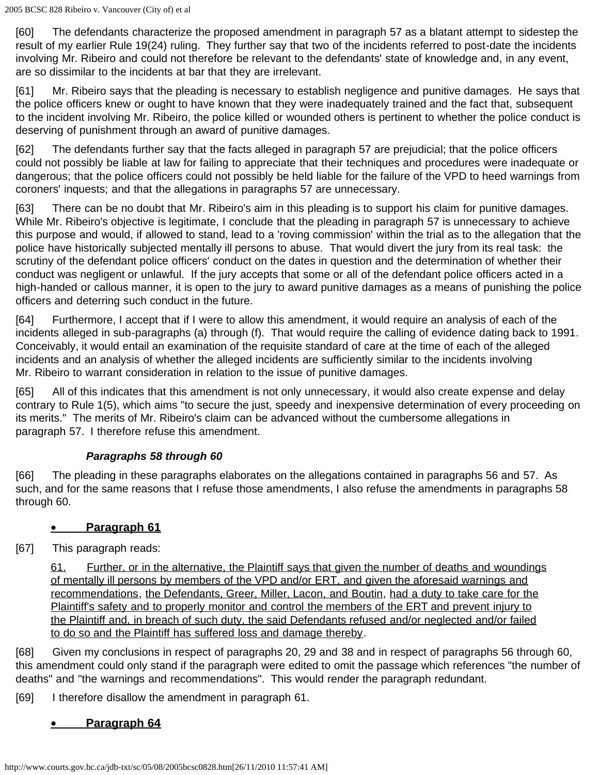[60] The defendants characterize the proposed amendment in paragraph 57 as a blatant attempt to sidestep the result of my earlier Rule 19(24) ruling. They further say that two of the incidents referred to post-date the incidents involving Mr. Ribeiro and could not therefore be relevant to the defendants' state of knowledge and, in any event, are so dissimilar to the incidents at bar that they are irrelevant.

[61] Mr. Ribeiro says that the pleading is necessary to establish negligence and punitive damages. He says that the police officers knew or ought to have known that they were inadequately trained and the fact that, subsequent to the incident involving Mr. Ribeiro, the police killed or wounded others is pertinent to whether the police conduct is deserving of punishment through an award of punitive damages.

[62] The defendants further say that the facts alleged in paragraph 57 are prejudicial; that the police officers could not possibly be liable at law for failing to appreciate that their techniques and procedures were inadequate or dangerous; that the police officers could not possibly be held liable for the failure of the VPD to heed warnings from coroners' inquests; and that the allegations in paragraphs 57 are unnecessary.

[63] There can be no doubt that Mr. Ribeiro's aim in this pleading is to support his claim for punitive damages. While Mr. Ribeiro's objective is legitimate, I conclude that the pleading in paragraph 57 is unnecessary to achieve this purpose and would, if allowed to stand, lead to a 'roving commission' within the trial as to the allegation that the police have historically subjected mentally ill persons to abuse. That would divert the jury from its real task: the scrutiny of the defendant police officers' conduct on the dates in question and the determination of whether their conduct was negligent or unlawful. If the jury accepts that some or all of the defendant police officers acted in a high-handed or callous manner, it is open to the jury to award punitive damages as a means of punishing the police officers and deterring such conduct in the future.

[64] Furthermore, I accept that if I were to allow this amendment, it would require an analysis of each of the incidents alleged in sub-paragraphs (a) through (f). That would require the calling of evidence dating back to 1991. Conceivably, it would entail an examination of the requisite standard of care at the time of each of the alleged incidents and an analysis of whether the alleged incidents are sufficiently similar to the incidents involving Mr. Ribeiro to warrant consideration in relation to the issue of punitive damages.

[65] All of this indicates that this amendment is not only unnecessary, it would also create expense and delay contrary to Rule 1(5), which aims "to secure the just, speedy and inexpensive determination of every proceeding on its merits." The merits of Mr. Ribeiro's claim can be advanced without the cumbersome allegations in paragraph 57. I therefore refuse this amendment.

## *Paragraphs 58 through 60*

[66] The pleading in these paragraphs elaborates on the allegations contained in paragraphs 56 and 57. As such, and for the same reasons that I refuse those amendments, I also refuse the amendments in paragraphs 58 through 60.

# • **Paragraph 61**

[67] This paragraph reads:

61. Further, or in the alternative, the Plaintiff says that given the number of deaths and woundings of mentally ill persons by members of the VPD and/or ERT, and given the aforesaid warnings and recommendations, the Defendants, Greer, Miller, Lacon, and Boutin, had a duty to take care for the Plaintiff's safety and to properly monitor and control the members of the ERT and prevent injury to the Plaintiff and, in breach of such duty, the said Defendants refused and/or neglected and/or failed to do so and the Plaintiff has suffered loss and damage thereby.

[68] Given my conclusions in respect of paragraphs 20, 29 and 38 and in respect of paragraphs 56 through 60, this amendment could only stand if the paragraph were edited to omit the passage which references "the number of deaths" and "the warnings and recommendations". This would render the paragraph redundant.

[69] I therefore disallow the amendment in paragraph 61.

# • **Paragraph 64**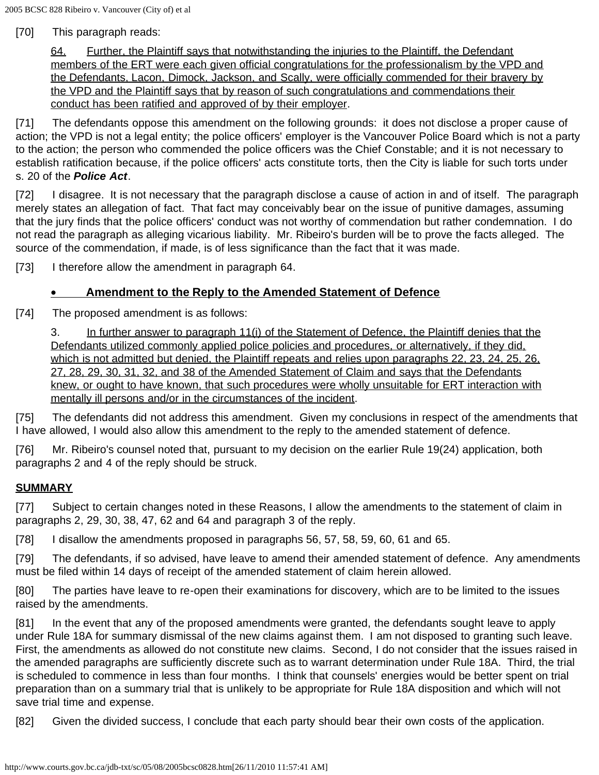[70] This paragraph reads:

64. Further, the Plaintiff says that notwithstanding the injuries to the Plaintiff, the Defendant members of the ERT were each given official congratulations for the professionalism by the VPD and the Defendants, Lacon, Dimock, Jackson, and Scally, were officially commended for their bravery by the VPD and the Plaintiff says that by reason of such congratulations and commendations their conduct has been ratified and approved of by their employer.

[71] The defendants oppose this amendment on the following grounds: it does not disclose a proper cause of action; the VPD is not a legal entity; the police officers' employer is the Vancouver Police Board which is not a party to the action; the person who commended the police officers was the Chief Constable; and it is not necessary to establish ratification because, if the police officers' acts constitute torts, then the City is liable for such torts under s. 20 of the *Police Act*.

[72] I disagree. It is not necessary that the paragraph disclose a cause of action in and of itself. The paragraph merely states an allegation of fact. That fact may conceivably bear on the issue of punitive damages, assuming that the jury finds that the police officers' conduct was not worthy of commendation but rather condemnation. I do not read the paragraph as alleging vicarious liability. Mr. Ribeiro's burden will be to prove the facts alleged. The source of the commendation, if made, is of less significance than the fact that it was made.

[73] I therefore allow the amendment in paragraph 64.

#### • **Amendment to the Reply to the Amended Statement of Defence**

[74] The proposed amendment is as follows:

3. In further answer to paragraph 11(i) of the Statement of Defence, the Plaintiff denies that the Defendants utilized commonly applied police policies and procedures, or alternatively, if they did, which is not admitted but denied, the Plaintiff repeats and relies upon paragraphs 22, 23, 24, 25, 26, 27, 28, 29, 30, 31, 32, and 38 of the Amended Statement of Claim and says that the Defendants knew, or ought to have known, that such procedures were wholly unsuitable for ERT interaction with mentally ill persons and/or in the circumstances of the incident.

[75] The defendants did not address this amendment. Given my conclusions in respect of the amendments that I have allowed, I would also allow this amendment to the reply to the amended statement of defence.

[76] Mr. Ribeiro's counsel noted that, pursuant to my decision on the earlier Rule 19(24) application, both paragraphs 2 and 4 of the reply should be struck.

#### **SUMMARY**

[77] Subject to certain changes noted in these Reasons, I allow the amendments to the statement of claim in paragraphs 2, 29, 30, 38, 47, 62 and 64 and paragraph 3 of the reply.

[78] I disallow the amendments proposed in paragraphs 56, 57, 58, 59, 60, 61 and 65.

[79] The defendants, if so advised, have leave to amend their amended statement of defence. Any amendments must be filed within 14 days of receipt of the amended statement of claim herein allowed.

[80] The parties have leave to re-open their examinations for discovery, which are to be limited to the issues raised by the amendments.

[81] In the event that any of the proposed amendments were granted, the defendants sought leave to apply under Rule 18A for summary dismissal of the new claims against them. I am not disposed to granting such leave. First, the amendments as allowed do not constitute new claims. Second, I do not consider that the issues raised in the amended paragraphs are sufficiently discrete such as to warrant determination under Rule 18A. Third, the trial is scheduled to commence in less than four months. I think that counsels' energies would be better spent on trial preparation than on a summary trial that is unlikely to be appropriate for Rule 18A disposition and which will not save trial time and expense.

[82] Given the divided success, I conclude that each party should bear their own costs of the application.